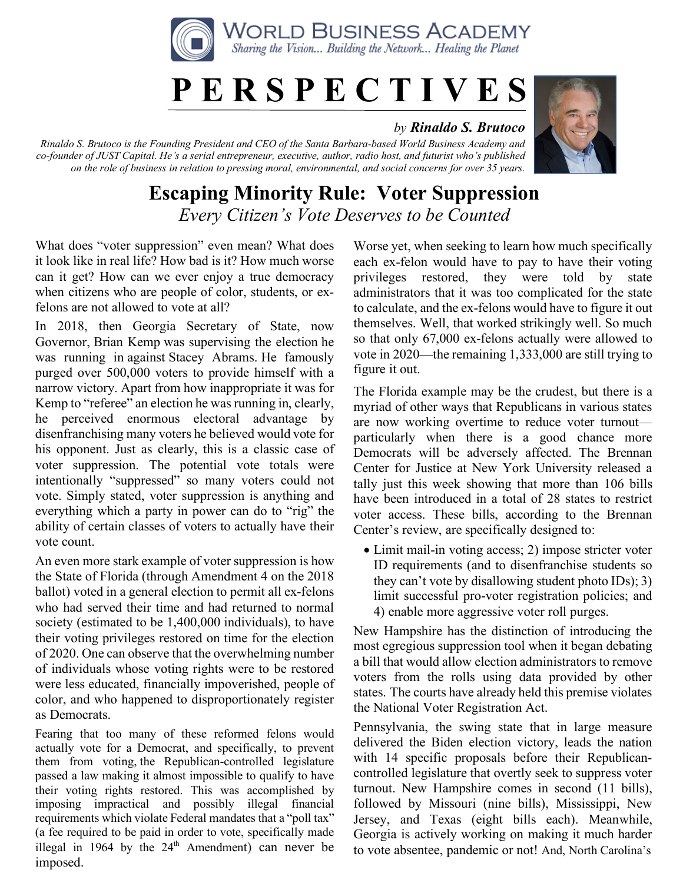

## **P E R S P E C T I V E S**

## *by Rinaldo S. Brutoco*

*Rinaldo S. Brutoco is the Founding President and CEO of the Santa Barbara-based World Business Academy and co-founder of JUST Capital. He's a serial entrepreneur, executive, author, radio host, and futurist who's published on the role of business in relation to pressing moral, environmental, and social concerns for over 35 years.*



## **Escaping Minority Rule: Voter Suppression** *Every Citizen's Vote Deserves to be Counted*

What does "voter suppression" even mean? What does it look like in real life? How bad is it? How much worse can it get? How can we ever enjoy a true democracy when citizens who are people of color, students, or exfelons are not allowed to vote at all?

In 2018, then Georgia Secretary of State, now Governor, Brian Kemp was supervising the election he was running in against Stacey Abrams. He famously purged over 500,000 voters to provide himself with a narrow victory. Apart from how inappropriate it was for Kemp to "referee" an election he was running in, clearly, he perceived enormous electoral advantage by disenfranchising many voters he believed would vote for his opponent. Just as clearly, this is a classic case of voter suppression. The potential vote totals were intentionally "suppressed" so many voters could not vote. Simply stated, voter suppression is anything and everything which a party in power can do to "rig" the ability of certain classes of voters to actually have their vote count.

An even more stark example of voter suppression is how the State of Florida (through Amendment 4 on the 2018 ballot) voted in a general election to permit all ex-felons who had served their time and had returned to normal society (estimated to be 1,400,000 individuals), to have their voting privileges restored on time for the election of 2020. One can observe that the overwhelming number of individuals whose voting rights were to be restored were less educated, financially impoverished, people of color, and who happened to disproportionately register as Democrats.

Fearing that too many of these reformed felons would actually vote for a Democrat, and specifically, to prevent them from voting, the Republican-controlled legislature passed a law making it almost impossible to qualify to have their voting rights restored. This was accomplished by imposing impractical and possibly illegal financial requirements which violate Federal mandates that a "poll tax" (a fee required to be paid in order to vote, specifically made illegal in 1964 by the  $24<sup>th</sup>$  Amendment) can never be imposed.

Worse yet, when seeking to learn how much specifically each ex-felon would have to pay to have their voting privileges restored, they were told by state administrators that it was too complicated for the state to calculate, and the ex-felons would have to figure it out themselves. Well, that worked strikingly well. So much so that only 67,000 ex-felons actually were allowed to vote in 2020—the remaining 1,333,000 are still trying to figure it out.

The Florida example may be the crudest, but there is a myriad of other ways that Republicans in various states are now working overtime to reduce voter turnout particularly when there is a good chance more Democrats will be adversely affected. The Brennan Center for Justice at New York University released a tally just this week showing that more than 106 bills have been introduced in a total of 28 states to restrict voter access. These bills, according to the Brennan Center's review, are specifically designed to:

• Limit mail-in voting access; 2) impose stricter voter ID requirements (and to disenfranchise students so they can't vote by disallowing student photo IDs); 3) limit successful pro-voter registration policies; and 4) enable more aggressive voter roll purges.

New Hampshire has the distinction of introducing the most egregious suppression tool when it began debating a bill that would allow election administrators to remove voters from the rolls using data provided by other states. The courts have already held this premise violates the National Voter Registration Act.

Pennsylvania, the swing state that in large measure delivered the Biden election victory, leads the nation with 14 specific proposals before their Republicancontrolled legislature that overtly seek to suppress voter turnout. New Hampshire comes in second (11 bills), followed by Missouri (nine bills), Mississippi, New Jersey, and Texas (eight bills each). Meanwhile, Georgia is actively working on making it much harder to vote absentee, pandemic or not! And, North Carolina's